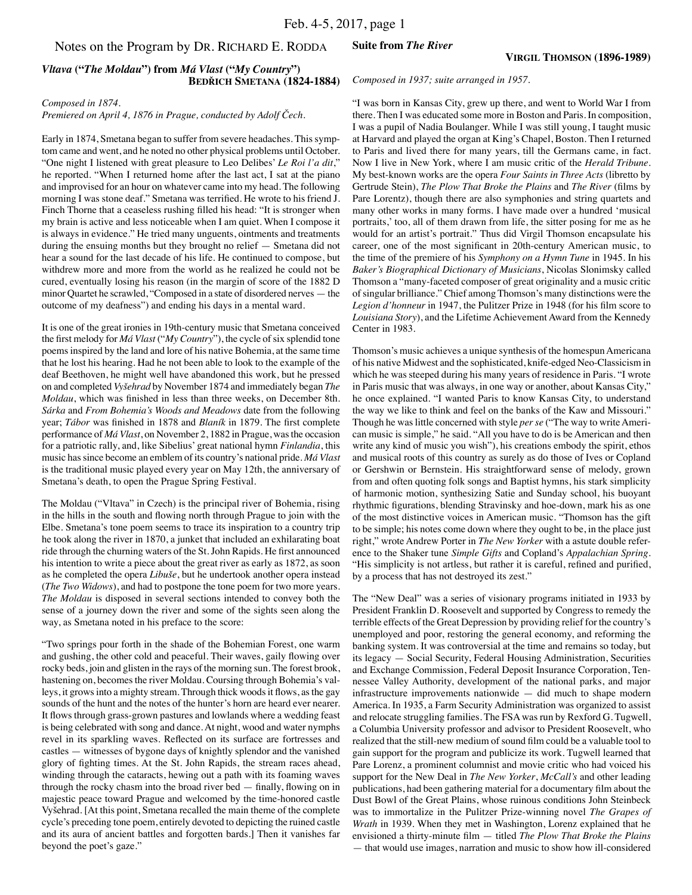# Notes on the Program by DR. RICHARD E. RODDA

## *Vltava* **("***The Moldau***") from** *Má Vlast* **("***My Country***") Bedřich Smetana (1824-1884)**

# *Composed in 1874.*

*Premiered on April 4, 1876 in Prague, conducted by Adolf Čech.*

Early in 1874, Smetana began to suffer from severe headaches. This symptom came and went, and he noted no other physical problems until October. "One night I listened with great pleasure to Leo Delibes' *Le Roi l'a dit*," he reported. "When I returned home after the last act, I sat at the piano and improvised for an hour on whatever came into my head. The following morning I was stone deaf." Smetana was terrified. He wrote to his friend J. Finch Thorne that a ceaseless rushing filled his head: "It is stronger when my brain is active and less noticeable when I am quiet. When I compose it is always in evidence." He tried many unguents, ointments and treatments during the ensuing months but they brought no relief — Smetana did not hear a sound for the last decade of his life. He continued to compose, but withdrew more and more from the world as he realized he could not be cured, eventually losing his reason (in the margin of score of the 1882 D minor Quartet he scrawled, "Composed in a state of disordered nerves — the outcome of my deafness") and ending his days in a mental ward.

It is one of the great ironies in 19th-century music that Smetana conceived the first melody for *Má Vlast* ("*My Country*"), the cycle of six splendid tone poems inspired by the land and lore of his native Bohemia, at the same time that he lost his hearing. Had he not been able to look to the example of the deaf Beethoven, he might well have abandoned this work, but he pressed on and completed *Vyšehrad* by November 1874 and immediately began *The Moldau*, which was finished in less than three weeks, on December 8th. *Sárka* and *From Bohemia's Woods and Meadows* date from the following year; *Tábor* was finished in 1878 and *Blaník* in 1879. The first complete performance of *Má Vlast*, on November 2, 1882 in Prague, was the occasion for a patriotic rally, and, like Sibelius' great national hymn *Finlandia*, this music has since become an emblem of its country's national pride. *Má Vlast*  is the traditional music played every year on May 12th, the anniversary of Smetana's death, to open the Prague Spring Festival.

The Moldau ("Vltava" in Czech) is the principal river of Bohemia, rising in the hills in the south and flowing north through Prague to join with the Elbe. Smetana's tone poem seems to trace its inspiration to a country trip he took along the river in 1870, a junket that included an exhilarating boat ride through the churning waters of the St. John Rapids. He first announced his intention to write a piece about the great river as early as 1872, as soon as he completed the opera *Libuše*, but he undertook another opera instead (*The Two Widows*), and had to postpone the tone poem for two more years. *The Moldau* is disposed in several sections intended to convey both the sense of a journey down the river and some of the sights seen along the way, as Smetana noted in his preface to the score:

"Two springs pour forth in the shade of the Bohemian Forest, one warm and gushing, the other cold and peaceful. Their waves, gaily flowing over rocky beds, join and glisten in the rays of the morning sun. The forest brook, hastening on, becomes the river Moldau. Coursing through Bohemia's valleys, it grows into a mighty stream. Through thick woods it flows, as the gay sounds of the hunt and the notes of the hunter's horn are heard ever nearer. It flows through grass-grown pastures and lowlands where a wedding feast is being celebrated with song and dance. At night, wood and water nymphs revel in its sparkling waves. Reflected on its surface are fortresses and castles — witnesses of bygone days of knightly splendor and the vanished glory of fighting times. At the St. John Rapids, the stream races ahead, winding through the cataracts, hewing out a path with its foaming waves through the rocky chasm into the broad river bed — finally, flowing on in majestic peace toward Prague and welcomed by the time-honored castle Vyšehrad. [At this point, Smetana recalled the main theme of the complete cycle's preceding tone poem, entirely devoted to depicting the ruined castle and its aura of ancient battles and forgotten bards.] Then it vanishes far beyond the poet's gaze."

# **Suite from** *The River*

#### *Composed in 1937; suite arranged in 1957.*

"I was born in Kansas City, grew up there, and went to World War I from there. Then I was educated some more in Boston and Paris. In composition, I was a pupil of Nadia Boulanger. While I was still young, I taught music at Harvard and played the organ at King's Chapel, Boston. Then I returned to Paris and lived there for many years, till the Germans came, in fact. Now I live in New York, where I am music critic of the *Herald Tribune*. My best-known works are the opera *Four Saints in Three Acts* (libretto by Gertrude Stein), *The Plow That Broke the Plains* and *The River* (films by Pare Lorentz), though there are also symphonies and string quartets and many other works in many forms. I have made over a hundred 'musical portraits,' too, all of them drawn from life, the sitter posing for me as he would for an artist's portrait." Thus did Virgil Thomson encapsulate his career, one of the most significant in 20th-century American music, to the time of the premiere of his *Symphony on a Hymn Tune* in 1945. In his *Baker's Biographical Dictionary of Musicians*, Nicolas Slonimsky called Thomson a "many-faceted composer of great originality and a music critic of singular brilliance." Chief among Thomson's many distinctions were the *Legion d'honneur* in 1947, the Pulitzer Prize in 1948 (for his film score to *Louisiana Story*), and the Lifetime Achievement Award from the Kennedy Center in 1983.

Thomson's music achieves a unique synthesis of the homespun Americana of his native Midwest and the sophisticated, knife-edged Neo-Classicism in which he was steeped during his many years of residence in Paris. "I wrote in Paris music that was always, in one way or another, about Kansas City," he once explained. "I wanted Paris to know Kansas City, to understand the way we like to think and feel on the banks of the Kaw and Missouri." Though he was little concerned with style *perse* ("The way to write American music is simple," he said. "All you have to do is be American and then write any kind of music you wish"), his creations embody the spirit, ethos and musical roots of this country as surely as do those of Ives or Copland or Gershwin or Bernstein. His straightforward sense of melody, grown from and often quoting folk songs and Baptist hymns, his stark simplicity of harmonic motion, synthesizing Satie and Sunday school, his buoyant rhythmic figurations, blending Stravinsky and hoe-down, mark his as one of the most distinctive voices in American music. "Thomson has the gift to be simple; his notes come down where they ought to be, in the place just right," wrote Andrew Porter in *The New Yorker* with a astute double reference to the Shaker tune *Simple Gifts* and Copland's *Appalachian Spring*. "His simplicity is not artless, but rather it is careful, refined and purified, by a process that has not destroyed its zest."

The "New Deal" was a series of visionary programs initiated in 1933 by President Franklin D. Roosevelt and supported by Congress to remedy the terrible effects of the Great Depression by providing relief for the country's unemployed and poor, restoring the general economy, and reforming the banking system. It was controversial at the time and remains so today, but its legacy — Social Security, Federal Housing Administration, Securities and Exchange Commission, Federal Deposit Insurance Corporation, Tennessee Valley Authority, development of the national parks, and major infrastructure improvements nationwide — did much to shape modern America. In 1935, a Farm Security Administration was organized to assist and relocate struggling families. The FSA was run by Rexford G. Tugwell, a Columbia University professor and advisor to President Roosevelt, who realized that the still-new medium of sound film could be a valuable tool to gain support for the program and publicize its work. Tugwell learned that Pare Lorenz, a prominent columnist and movie critic who had voiced his support for the New Deal in *The New Yorker*, *McCall's* and other leading publications, had been gathering material for a documentary film about the Dust Bowl of the Great Plains, whose ruinous conditions John Steinbeck was to immortalize in the Pulitzer Prize-winning novel *The Grapes of Wrath* in 1939. When they met in Washington, Lorenz explained that he envisioned a thirty-minute film — titled *The Plow That Broke the Plains* — that would use images, narration and music to show how ill-considered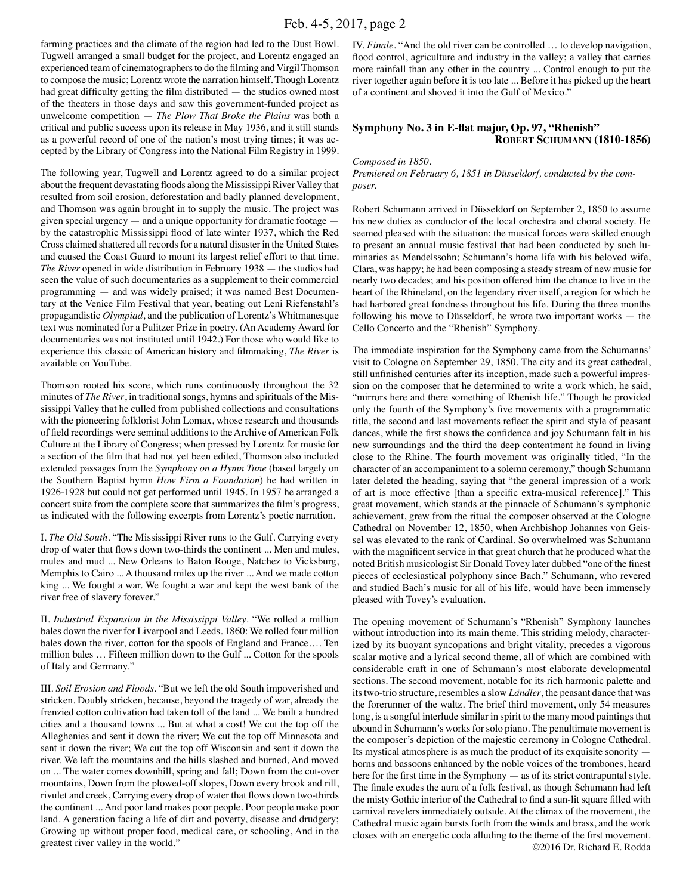farming practices and the climate of the region had led to the Dust Bowl. Tugwell arranged a small budget for the project, and Lorentz engaged an experienced team of cinematographers to do the filming and Virgil Thomson to compose the music; Lorentz wrote the narration himself. Though Lorentz had great difficulty getting the film distributed — the studios owned most of the theaters in those days and saw this government-funded project as unwelcome competition — *The Plow That Broke the Plains* was both a critical and public success upon its release in May 1936, and it still stands as a powerful record of one of the nation's most trying times; it was accepted by the Library of Congress into the National Film Registry in 1999.

The following year, Tugwell and Lorentz agreed to do a similar project about the frequent devastating floods along the Mississippi River Valley that resulted from soil erosion, deforestation and badly planned development, and Thomson was again brought in to supply the music. The project was given special urgency — and a unique opportunity for dramatic footage by the catastrophic Mississippi flood of late winter 1937, which the Red Cross claimed shattered all records for a natural disaster in the United States and caused the Coast Guard to mount its largest relief effort to that time. *The River* opened in wide distribution in February 1938 — the studios had seen the value of such documentaries as a supplement to their commercial programming — and was widely praised; it was named Best Documentary at the Venice Film Festival that year, beating out Leni Riefenstahl's propagandistic *Olympiad*, and the publication of Lorentz's Whitmanesque text was nominated for a Pulitzer Prize in poetry. (An Academy Award for documentaries was not instituted until 1942.) For those who would like to experience this classic of American history and filmmaking, *The River* is available on YouTube.

Thomson rooted his score, which runs continuously throughout the 32 minutes of *The River*, in traditional songs, hymns and spirituals of the Mississippi Valley that he culled from published collections and consultations with the pioneering folklorist John Lomax, whose research and thousands of field recordings were seminal additions to the Archive of American Folk Culture at the Library of Congress; when pressed by Lorentz for music for a section of the film that had not yet been edited, Thomson also included extended passages from the *Symphony on a Hymn Tune* (based largely on the Southern Baptist hymn *How Firm a Foundation*) he had written in 1926-1928 but could not get performed until 1945. In 1957 he arranged a concert suite from the complete score that summarizes the film's progress, as indicated with the following excerpts from Lorentz's poetic narration.

I. *The Old South*. "The Mississippi River runs to the Gulf. Carrying every drop of water that flows down two-thirds the continent ... Men and mules, mules and mud ... New Orleans to Baton Rouge, Natchez to Vicksburg, Memphis to Cairo ... A thousand miles up the river ... And we made cotton king ... We fought a war. We fought a war and kept the west bank of the river free of slavery forever."

II. *Industrial Expansion in the Mississippi Valley*. "We rolled a million bales down the river for Liverpool and Leeds. 1860: We rolled four million bales down the river, cotton for the spools of England and France…. Ten million bales … Fifteen million down to the Gulf ... Cotton for the spools of Italy and Germany."

III. *Soil Erosion and Floods*. "But we left the old South impoverished and stricken. Doubly stricken, because, beyond the tragedy of war, already the frenzied cotton cultivation had taken toll of the land ... We built a hundred cities and a thousand towns ... But at what a cost! We cut the top off the Alleghenies and sent it down the river; We cut the top off Minnesota and sent it down the river; We cut the top off Wisconsin and sent it down the river. We left the mountains and the hills slashed and burned, And moved on ... The water comes downhill, spring and fall; Down from the cut-over mountains, Down from the plowed-off slopes, Down every brook and rill, rivulet and creek, Carrying every drop of water that flows down two-thirds the continent ... And poor land makes poor people. Poor people make poor land. A generation facing a life of dirt and poverty, disease and drudgery; Growing up without proper food, medical care, or schooling, And in the greatest river valley in the world."

IV. *Finale*. "And the old river can be controlled … to develop navigation, flood control, agriculture and industry in the valley; a valley that carries more rainfall than any other in the country ... Control enough to put the river together again before it is too late ... Before it has picked up the heart of a continent and shoved it into the Gulf of Mexico."

### **Symphony No. 3 in E-flat major, Op. 97, "Rhenish" Robert Schumann (1810-1856)**

#### *Composed in 1850.*

*Premiered on February 6, 1851 in Düsseldorf, conducted by the composer.*

Robert Schumann arrived in Düsseldorf on September 2, 1850 to assume his new duties as conductor of the local orchestra and choral society. He seemed pleased with the situation: the musical forces were skilled enough to present an annual music festival that had been conducted by such luminaries as Mendelssohn; Schumann's home life with his beloved wife, Clara, was happy; he had been composing a steady stream of new music for nearly two decades; and his position offered him the chance to live in the heart of the Rhineland, on the legendary river itself, a region for which he had harbored great fondness throughout his life. During the three months following his move to Düsseldorf, he wrote two important works — the Cello Concerto and the "Rhenish" Symphony.

The immediate inspiration for the Symphony came from the Schumanns' visit to Cologne on September 29, 1850. The city and its great cathedral, still unfinished centuries after its inception, made such a powerful impression on the composer that he determined to write a work which, he said, "mirrors here and there something of Rhenish life." Though he provided only the fourth of the Symphony's five movements with a programmatic title, the second and last movements reflect the spirit and style of peasant dances, while the first shows the confidence and joy Schumann felt in his new surroundings and the third the deep contentment he found in living close to the Rhine. The fourth movement was originally titled, "In the character of an accompaniment to a solemn ceremony," though Schumann later deleted the heading, saying that "the general impression of a work of art is more effective [than a specific extra-musical reference]." This great movement, which stands at the pinnacle of Schumann's symphonic achievement, grew from the ritual the composer observed at the Cologne Cathedral on November 12, 1850, when Archbishop Johannes von Geissel was elevated to the rank of Cardinal. So overwhelmed was Schumann with the magnificent service in that great church that he produced what the noted British musicologist Sir Donald Tovey later dubbed "one of the finest pieces of ecclesiastical polyphony since Bach." Schumann, who revered and studied Bach's music for all of his life, would have been immensely pleased with Tovey's evaluation.

The opening movement of Schumann's "Rhenish" Symphony launches without introduction into its main theme. This striding melody, characterized by its buoyant syncopations and bright vitality, precedes a vigorous scalar motive and a lyrical second theme, all of which are combined with considerable craft in one of Schumann's most elaborate developmental sections. The second movement, notable for its rich harmonic palette and its two-trio structure, resembles a slow *Ländler*, the peasant dance that was the forerunner of the waltz. The brief third movement, only 54 measures long, is a songful interlude similar in spirit to the many mood paintings that abound in Schumann's works for solo piano. The penultimate movement is the composer's depiction of the majestic ceremony in Cologne Cathedral. Its mystical atmosphere is as much the product of its exquisite sonority horns and bassoons enhanced by the noble voices of the trombones, heard here for the first time in the Symphony — as of its strict contrapuntal style. The finale exudes the aura of a folk festival, as though Schumann had left the misty Gothic interior of the Cathedral to find a sun-lit square filled with carnival revelers immediately outside. At the climax of the movement, the Cathedral music again bursts forth from the winds and brass, and the work closes with an energetic coda alluding to the theme of the first movement. ©2016 Dr. Richard E. Rodda